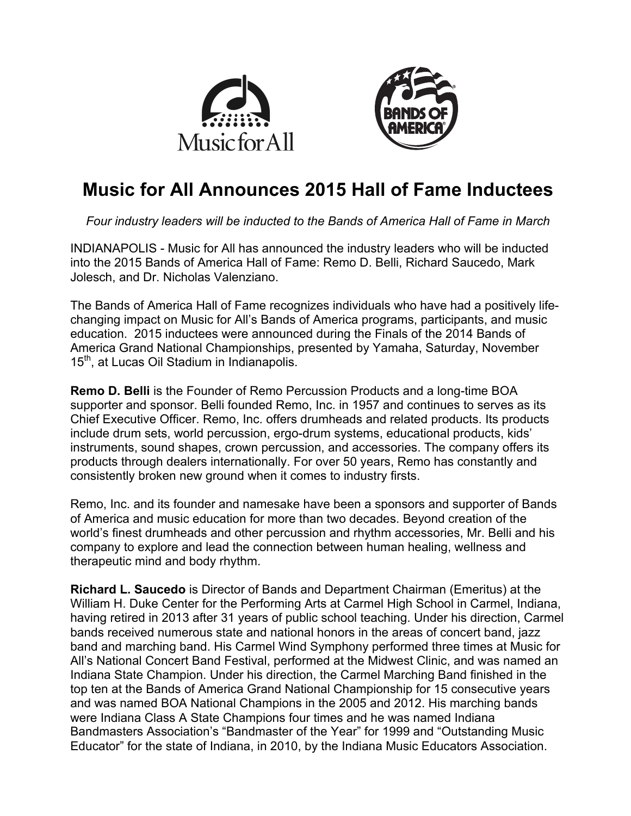



# **Music for All Announces 2015 Hall of Fame Inductees**

*Four industry leaders will be inducted to the Bands of America Hall of Fame in March*

INDIANAPOLIS - Music for All has announced the industry leaders who will be inducted into the 2015 Bands of America Hall of Fame: Remo D. Belli, Richard Saucedo, Mark Jolesch, and Dr. Nicholas Valenziano.

The Bands of America Hall of Fame recognizes individuals who have had a positively lifechanging impact on Music for All's Bands of America programs, participants, and music education. 2015 inductees were announced during the Finals of the 2014 Bands of America Grand National Championships, presented by Yamaha, Saturday, November 15<sup>th</sup>, at Lucas Oil Stadium in Indianapolis.

**Remo D. Belli** is the Founder of Remo Percussion Products and a long-time BOA supporter and sponsor. Belli founded Remo, Inc. in 1957 and continues to serves as its Chief Executive Officer. Remo, Inc. offers drumheads and related products. Its products include drum sets, world percussion, ergo-drum systems, educational products, kids' instruments, sound shapes, crown percussion, and accessories. The company offers its products through dealers internationally. For over 50 years, Remo has constantly and consistently broken new ground when it comes to industry firsts.

Remo, Inc. and its founder and namesake have been a sponsors and supporter of Bands of America and music education for more than two decades. Beyond creation of the world's finest drumheads and other percussion and rhythm accessories, Mr. Belli and his company to explore and lead the connection between human healing, wellness and therapeutic mind and body rhythm.

**Richard L. Saucedo** is Director of Bands and Department Chairman (Emeritus) at the William H. Duke Center for the Performing Arts at Carmel High School in Carmel, Indiana, having retired in 2013 after 31 years of public school teaching. Under his direction, Carmel bands received numerous state and national honors in the areas of concert band, jazz band and marching band. His Carmel Wind Symphony performed three times at Music for All's National Concert Band Festival, performed at the Midwest Clinic, and was named an Indiana State Champion. Under his direction, the Carmel Marching Band finished in the top ten at the Bands of America Grand National Championship for 15 consecutive years and was named BOA National Champions in the 2005 and 2012. His marching bands were Indiana Class A State Champions four times and he was named Indiana Bandmasters Association's "Bandmaster of the Year" for 1999 and "Outstanding Music Educator" for the state of Indiana, in 2010, by the Indiana Music Educators Association.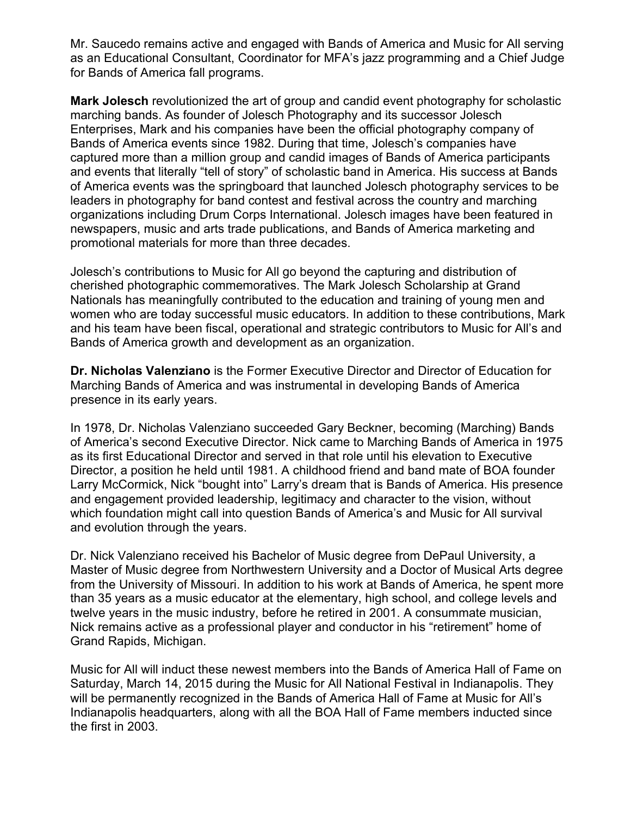Mr. Saucedo remains active and engaged with Bands of America and Music for All serving as an Educational Consultant, Coordinator for MFA's jazz programming and a Chief Judge for Bands of America fall programs.

**Mark Jolesch** revolutionized the art of group and candid event photography for scholastic marching bands. As founder of Jolesch Photography and its successor Jolesch Enterprises, Mark and his companies have been the official photography company of Bands of America events since 1982. During that time, Jolesch's companies have captured more than a million group and candid images of Bands of America participants and events that literally "tell of story" of scholastic band in America. His success at Bands of America events was the springboard that launched Jolesch photography services to be leaders in photography for band contest and festival across the country and marching organizations including Drum Corps International. Jolesch images have been featured in newspapers, music and arts trade publications, and Bands of America marketing and promotional materials for more than three decades.

Jolesch's contributions to Music for All go beyond the capturing and distribution of cherished photographic commemoratives. The Mark Jolesch Scholarship at Grand Nationals has meaningfully contributed to the education and training of young men and women who are today successful music educators. In addition to these contributions, Mark and his team have been fiscal, operational and strategic contributors to Music for All's and Bands of America growth and development as an organization.

**Dr. Nicholas Valenziano** is the Former Executive Director and Director of Education for Marching Bands of America and was instrumental in developing Bands of America presence in its early years.

In 1978, Dr. Nicholas Valenziano succeeded Gary Beckner, becoming (Marching) Bands of America's second Executive Director. Nick came to Marching Bands of America in 1975 as its first Educational Director and served in that role until his elevation to Executive Director, a position he held until 1981. A childhood friend and band mate of BOA founder Larry McCormick, Nick "bought into" Larry's dream that is Bands of America. His presence and engagement provided leadership, legitimacy and character to the vision, without which foundation might call into question Bands of America's and Music for All survival and evolution through the years.

Dr. Nick Valenziano received his Bachelor of Music degree from DePaul University, a Master of Music degree from Northwestern University and a Doctor of Musical Arts degree from the University of Missouri. In addition to his work at Bands of America, he spent more than 35 years as a music educator at the elementary, high school, and college levels and twelve years in the music industry, before he retired in 2001. A consummate musician, Nick remains active as a professional player and conductor in his "retirement" home of Grand Rapids, Michigan.

Music for All will induct these newest members into the Bands of America Hall of Fame on Saturday, March 14, 2015 during the Music for All National Festival in Indianapolis. They will be permanently recognized in the Bands of America Hall of Fame at Music for All's Indianapolis headquarters, along with all the BOA Hall of Fame members inducted since the first in 2003.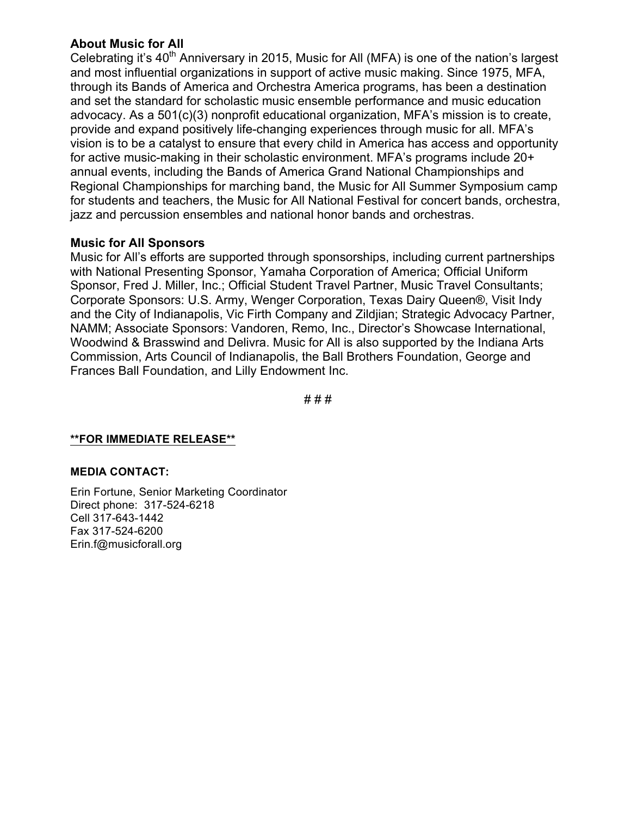## **About Music for All**

Celebrating it's  $40<sup>th</sup>$  Anniversary in 2015, Music for All (MFA) is one of the nation's largest and most influential organizations in support of active music making. Since 1975, MFA, through its Bands of America and Orchestra America programs, has been a destination and set the standard for scholastic music ensemble performance and music education advocacy. As a 501(c)(3) nonprofit educational organization, MFA's mission is to create, provide and expand positively life-changing experiences through music for all. MFA's vision is to be a catalyst to ensure that every child in America has access and opportunity for active music-making in their scholastic environment. MFA's programs include 20+ annual events, including the Bands of America Grand National Championships and Regional Championships for marching band, the Music for All Summer Symposium camp for students and teachers, the Music for All National Festival for concert bands, orchestra, jazz and percussion ensembles and national honor bands and orchestras.

## **Music for All Sponsors**

Music for All's efforts are supported through sponsorships, including current partnerships with National Presenting Sponsor, Yamaha Corporation of America; Official Uniform Sponsor, Fred J. Miller, Inc.; Official Student Travel Partner, Music Travel Consultants; Corporate Sponsors: U.S. Army, Wenger Corporation, Texas Dairy Queen®, Visit Indy and the City of Indianapolis, Vic Firth Company and Zildjian; Strategic Advocacy Partner, NAMM; Associate Sponsors: Vandoren, Remo, Inc., Director's Showcase International, Woodwind & Brasswind and Delivra. Music for All is also supported by the Indiana Arts Commission, Arts Council of Indianapolis, the Ball Brothers Foundation, George and Frances Ball Foundation, and Lilly Endowment Inc.

# # #

#### **\*\*FOR IMMEDIATE RELEASE\*\***

#### **MEDIA CONTACT:**

Erin Fortune, Senior Marketing Coordinator Direct phone: 317-524-6218 Cell 317-643-1442 Fax 317-524-6200 Erin.f@musicforall.org